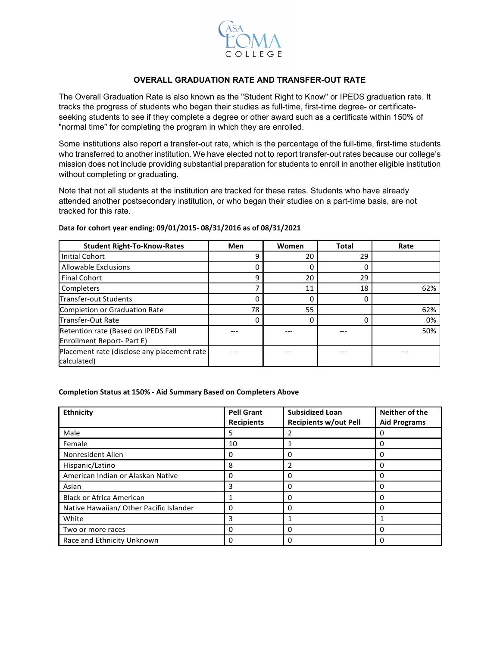

## **OVERALL GRADUATION RATE AND TRANSFER-OUT RATE**

The Overall Graduation Rate is also known as the "Student Right to Know" or IPEDS graduation rate. It tracks the progress of students who began their studies as full-time, first-time degree- or certificateseeking students to see if they complete a degree or other award such as a certificate within 150% of "normal time" for completing the program in which they are enrolled.

Some institutions also report a transfer-out rate, which is the percentage of the full-time, first-time students who transferred to another institution. We have elected not to report transfer-out rates because our college's mission does not include providing substantial preparation for students to enroll in another eligible institution without completing or graduating.

Note that not all students at the institution are tracked for these rates. Students who have already attended another postsecondary institution, or who began their studies on a part-time basis, are not tracked for this rate.

| <b>Student Right-To-Know-Rates</b>                                | Men | Women | <b>Total</b> | Rate |
|-------------------------------------------------------------------|-----|-------|--------------|------|
| <b>Initial Cohort</b>                                             |     | 20    | 29           |      |
| <b>Allowable Exclusions</b>                                       |     |       | 0            |      |
| <b>Final Cohort</b>                                               | 9   | 20    | 29           |      |
| Completers                                                        |     | 11    | 18           | 62%  |
| Transfer-out Students                                             |     |       | 0            |      |
| Completion or Graduation Rate                                     | 78  | 55    |              | 62%  |
| <b>Transfer-Out Rate</b>                                          |     |       | 0            | 0%   |
| Retention rate (Based on IPEDS Fall<br>Enrollment Report- Part E) |     |       |              | 50%  |
| Placement rate (disclose any placement rate<br>calculated)        |     |       |              |      |

## **Data for cohort year ending: 09/01/2015- 08/31/2016 as of 08/31/2021**

## **Completion Status at 150% - Aid Summary Based on Completers Above**

| <b>Ethnicity</b>                        | <b>Pell Grant</b><br><b>Recipients</b> | <b>Subsidized Loan</b><br><b>Recipients w/out Pell</b> | Neither of the<br><b>Aid Programs</b> |
|-----------------------------------------|----------------------------------------|--------------------------------------------------------|---------------------------------------|
| Male                                    | 5                                      |                                                        | O                                     |
| Female                                  | 10                                     |                                                        | ი                                     |
| Nonresident Alien                       | 0                                      | 0                                                      | Ω                                     |
| Hispanic/Latino                         | 8                                      |                                                        | Ω                                     |
| American Indian or Alaskan Native       | 0                                      | 0                                                      | ი                                     |
| Asian                                   | 3                                      | 0                                                      | ი                                     |
| <b>Black or Africa American</b>         |                                        | 0                                                      | ი                                     |
| Native Hawaiian/ Other Pacific Islander | 0                                      | 0                                                      |                                       |
| White                                   | 3                                      |                                                        |                                       |
| Two or more races                       | 0                                      | 0                                                      | ი                                     |
| Race and Ethnicity Unknown              | 0                                      | 0                                                      | O                                     |